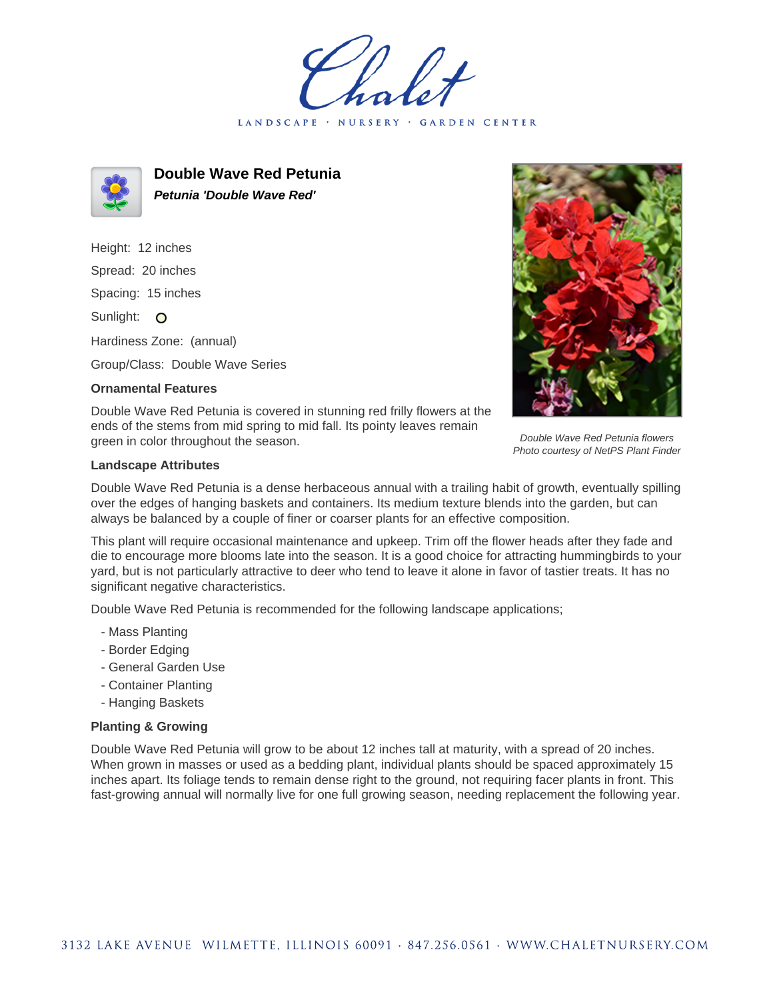LANDSCAPE · NURSERY · GARDEN CENTER



**Double Wave Red Petunia Petunia 'Double Wave Red'**

Height: 12 inches Spread: 20 inches Spacing: 15 inches Sunlight: O Hardiness Zone: (annual)

Group/Class: Double Wave Series

## **Ornamental Features**



Double Wave Red Petunia flowers Photo courtesy of NetPS Plant Finder

Double Wave Red Petunia is covered in stunning red frilly flowers at the ends of the stems from mid spring to mid fall. Its pointy leaves remain green in color throughout the season.

## **Landscape Attributes**

Double Wave Red Petunia is a dense herbaceous annual with a trailing habit of growth, eventually spilling over the edges of hanging baskets and containers. Its medium texture blends into the garden, but can always be balanced by a couple of finer or coarser plants for an effective composition.

This plant will require occasional maintenance and upkeep. Trim off the flower heads after they fade and die to encourage more blooms late into the season. It is a good choice for attracting hummingbirds to your yard, but is not particularly attractive to deer who tend to leave it alone in favor of tastier treats. It has no significant negative characteristics.

Double Wave Red Petunia is recommended for the following landscape applications;

- Mass Planting
- Border Edging
- General Garden Use
- Container Planting
- Hanging Baskets

## **Planting & Growing**

Double Wave Red Petunia will grow to be about 12 inches tall at maturity, with a spread of 20 inches. When grown in masses or used as a bedding plant, individual plants should be spaced approximately 15 inches apart. Its foliage tends to remain dense right to the ground, not requiring facer plants in front. This fast-growing annual will normally live for one full growing season, needing replacement the following year.